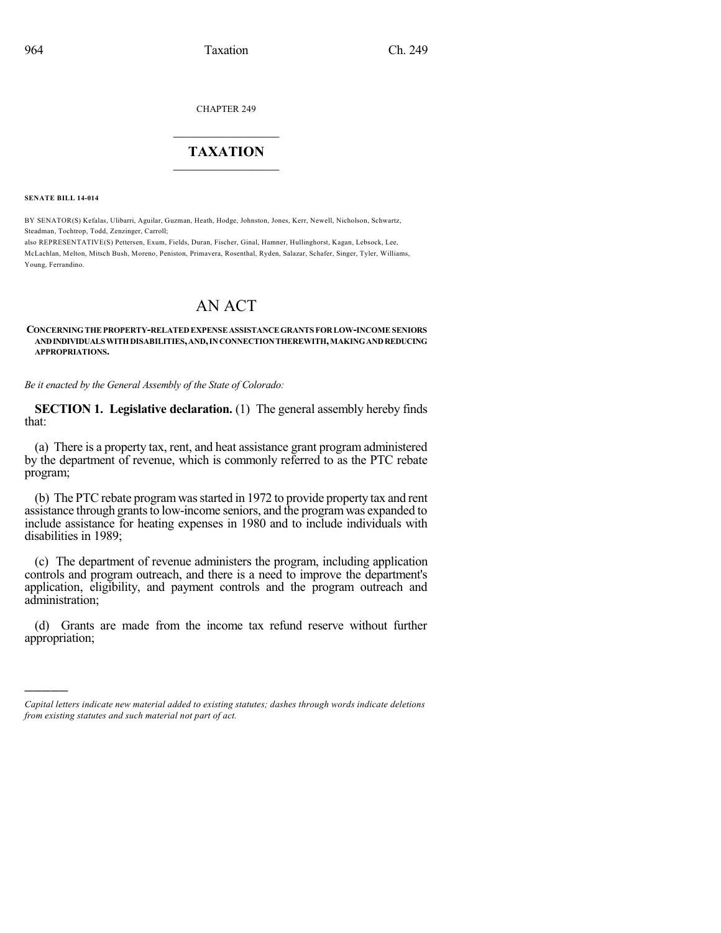CHAPTER 249

## $\overline{\phantom{a}}$  . The set of the set of the set of the set of the set of the set of the set of the set of the set of the set of the set of the set of the set of the set of the set of the set of the set of the set of the set o **TAXATION**  $\_$

**SENATE BILL 14-014**

)))))

BY SENATOR(S) Kefalas, Ulibarri, Aguilar, Guzman, Heath, Hodge, Johnston, Jones, Kerr, Newell, Nicholson, Schwartz, Steadman, Tochtrop, Todd, Zenzinger, Carroll;

also REPRESENTATIVE(S) Pettersen, Exum, Fields, Duran, Fischer, Ginal, Hamner, Hullinghorst, Kagan, Lebsock, Lee, McLachlan, Melton, Mitsch Bush, Moreno, Peniston, Primavera, Rosenthal, Ryden, Salazar, Schafer, Singer, Tyler, Williams, Young, Ferrandino.

# AN ACT

#### **CONCERNINGTHEPROPERTY-RELATEDEXPENSEASSISTANCEGRANTS FORLOW-INCOMESENIORS ANDINDIVIDUALSWITHDISABILITIES,AND,INCONNECTIONTHEREWITH,MAKINGANDREDUCING APPROPRIATIONS.**

*Be it enacted by the General Assembly of the State of Colorado:*

**SECTION 1. Legislative declaration.** (1) The general assembly hereby finds that:

(a) There is a property tax, rent, and heat assistance grant program administered by the department of revenue, which is commonly referred to as the PTC rebate program;

(b) The PTC rebate programwasstarted in 1972 to provide property tax and rent assistance through grants to low-income seniors, and the program was expanded to include assistance for heating expenses in 1980 and to include individuals with disabilities in 1989;

(c) The department of revenue administers the program, including application controls and program outreach, and there is a need to improve the department's application, eligibility, and payment controls and the program outreach and administration;

(d) Grants are made from the income tax refund reserve without further appropriation;

*Capital letters indicate new material added to existing statutes; dashes through words indicate deletions from existing statutes and such material not part of act.*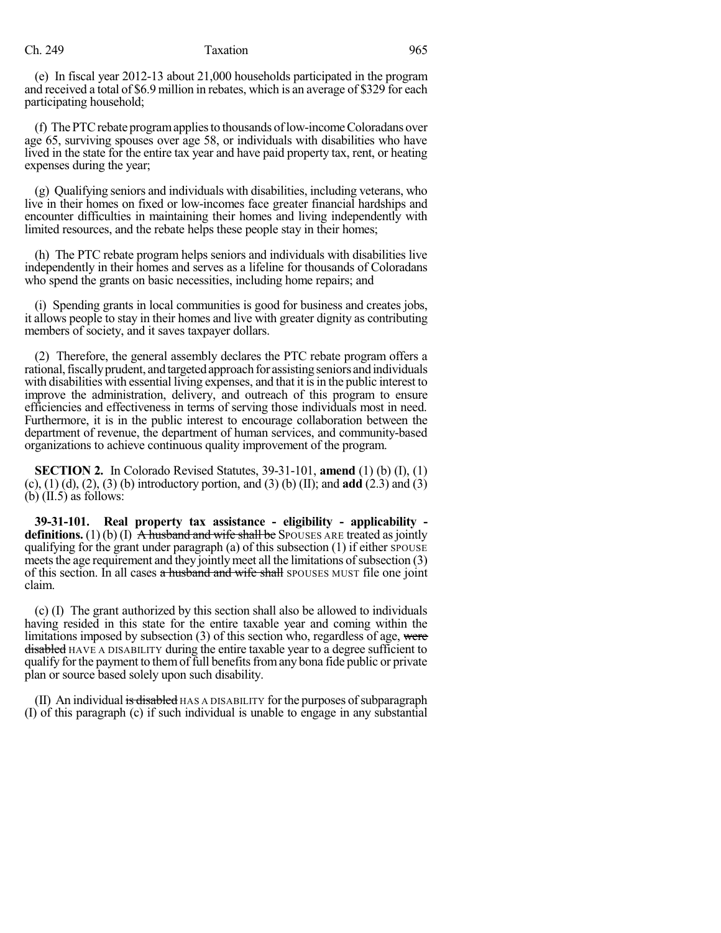### Ch. 249 Taxation 965

(e) In fiscal year 2012-13 about 21,000 households participated in the program and received a total of \$6.9 million in rebates, which is an average of \$329 for each participating household;

(f) ThePTCrebate programappliesto thousands oflow-incomeColoradans over age 65, surviving spouses over age 58, or individuals with disabilities who have lived in the state for the entire tax year and have paid property tax, rent, or heating expenses during the year;

(g) Qualifying seniors and individuals with disabilities, including veterans, who live in their homes on fixed or low-incomes face greater financial hardships and encounter difficulties in maintaining their homes and living independently with limited resources, and the rebate helps these people stay in their homes;

(h) The PTC rebate program helps seniors and individuals with disabilities live independently in their homes and serves as a lifeline for thousands of Coloradans who spend the grants on basic necessities, including home repairs; and

(i) Spending grants in local communities is good for business and creates jobs, it allows people to stay in their homes and live with greater dignity as contributing members of society, and it saves taxpayer dollars.

(2) Therefore, the general assembly declares the PTC rebate program offers a rational, fiscally prudent, and targeted approach for assisting seniors and individuals with disabilities with essential living expenses, and that it is in the public interest to improve the administration, delivery, and outreach of this program to ensure efficiencies and effectiveness in terms of serving those individuals most in need. Furthermore, it is in the public interest to encourage collaboration between the department of revenue, the department of human services, and community-based organizations to achieve continuous quality improvement of the program.

**SECTION 2.** In Colorado Revised Statutes, 39-31-101, **amend** (1) (b) (I), (1) (c), (1) (d), (2), (3) (b) introductory portion, and (3) (b) (II); and **add** (2.3) and (3) (b)  $(II.5)$  as follows:

**39-31-101. Real property tax assistance - eligibility - applicability definitions.** (1) (b) (I)  $\overline{A}$  husband and wife shall be SPOUSES ARE treated as jointly qualifying for the grant under paragraph (a) of this subsection  $(1)$  if either SPOUSE meets the age requirement and they jointly meet all the limitations of subsection  $(3)$ of this section. In all cases a husband and wife shall SPOUSES MUST file one joint claim.

(c) (I) The grant authorized by this section shall also be allowed to individuals having resided in this state for the entire taxable year and coming within the limitations imposed by subsection  $(3)$  of this section who, regardless of age, were disabled HAVE A DISABILITY during the entire taxable year to a degree sufficient to qualify forthe payment to themof full benefitsfromany bona fide public or private plan or source based solely upon such disability.

 $(II)$  An individual is disabled  $HAS$  A DISABILITY for the purposes of subparagraph (I) of this paragraph (c) if such individual is unable to engage in any substantial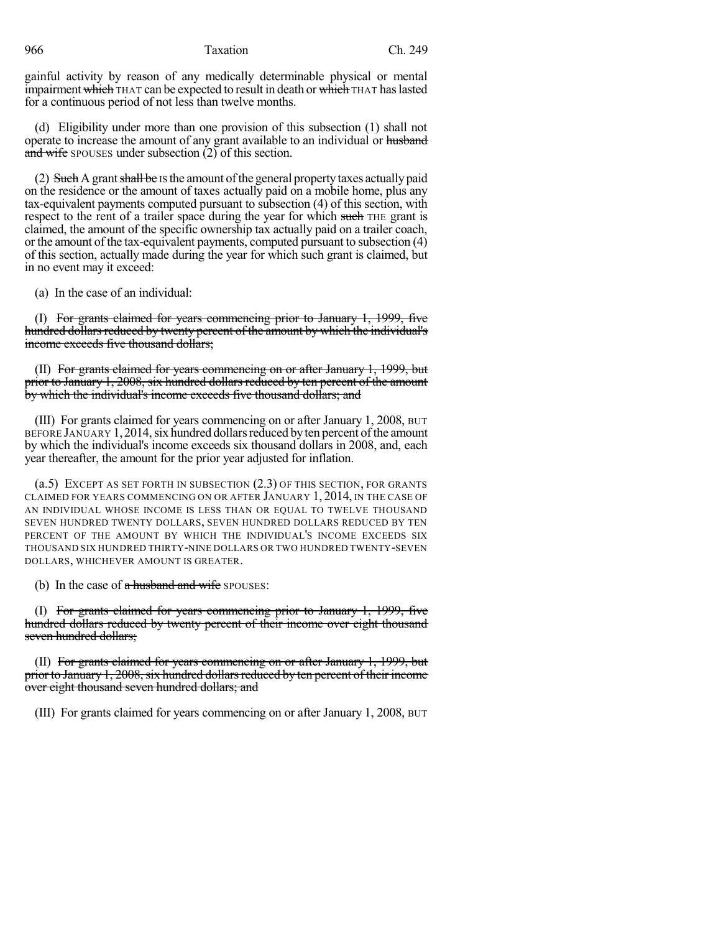966 Taxation Ch. 249

gainful activity by reason of any medically determinable physical or mental impairment which THAT can be expected to result in death or which THAT haslasted for a continuous period of not less than twelve months.

(d) Eligibility under more than one provision of this subsection (1) shall not operate to increase the amount of any grant available to an individual or husband and wife spouses under subsection (2) of this section.

(2) Such A grant shall be IS the amount of the general property taxes actually paid on the residence or the amount of taxes actually paid on a mobile home, plus any tax-equivalent payments computed pursuant to subsection (4) of this section, with respect to the rent of a trailer space during the year for which such THE grant is claimed, the amount of the specific ownership tax actually paid on a trailer coach, or the amount of the tax-equivalent payments, computed pursuant to subsection (4) of this section, actually made during the year for which such grant is claimed, but in no event may it exceed:

(a) In the case of an individual:

(I) For grants claimed for years commencing prior to January 1, 1999, five hundred dollars reduced by twenty percent of the amount by which the individual's income exceeds five thousand dollars;

(II) For grants claimed for years commencing on or after January 1, 1999, but prior to January 1, 2008, six hundred dollars reduced by ten percent of the amount by which the individual's income exceeds five thousand dollars; and

(III) For grants claimed for years commencing on or after January 1, 2008, BUT BEFORE JANUARY 1, 2014, six hundred dollars reduced by ten percent of the amount by which the individual's income exceeds six thousand dollars in 2008, and, each year thereafter, the amount for the prior year adjusted for inflation.

(a.5) EXCEPT AS SET FORTH IN SUBSECTION (2.3) OF THIS SECTION, FOR GRANTS CLAIMED FOR YEARS COMMENCING ON OR AFTER JANUARY 1, 2014, IN THE CASE OF AN INDIVIDUAL WHOSE INCOME IS LESS THAN OR EQUAL TO TWELVE THOUSAND SEVEN HUNDRED TWENTY DOLLARS, SEVEN HUNDRED DOLLARS REDUCED BY TEN PERCENT OF THE AMOUNT BY WHICH THE INDIVIDUAL'S INCOME EXCEEDS SIX THOUSAND SIX HUNDRED THIRTY-NINE DOLLARS OR TWO HUNDRED TWENTY-SEVEN DOLLARS, WHICHEVER AMOUNT IS GREATER.

(b) In the case of  $\alpha$  husband and wife SPOUSES:

(I) For grants claimed for years commencing prior to January 1, 1999, five hundred dollars reduced by twenty percent of their income over eight thousand seven hundred dollars;

(II) For grants claimed for years commencing on or after January 1, 1999, but prior to January 1, 2008, six hundred dollars reduced by ten percent of their income over eight thousand seven hundred dollars; and

(III) For grants claimed for years commencing on or after January 1, 2008, BUT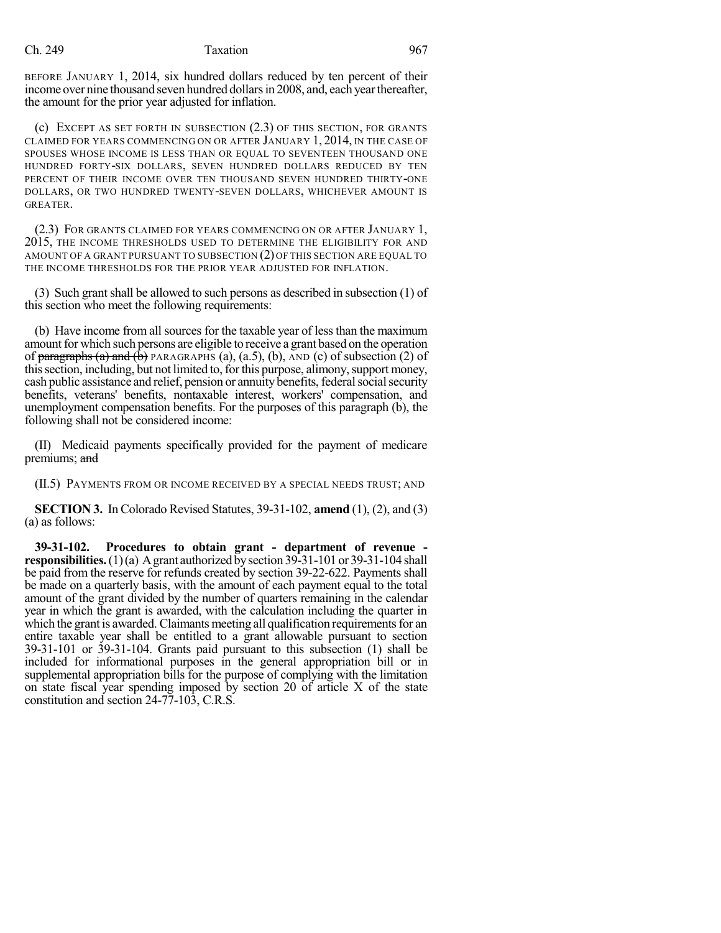BEFORE JANUARY 1, 2014, six hundred dollars reduced by ten percent of their income over nine thousand seven hundred dollars in 2008, and, each year thereafter, the amount for the prior year adjusted for inflation.

(c) EXCEPT AS SET FORTH IN SUBSECTION (2.3) OF THIS SECTION, FOR GRANTS CLAIMED FOR YEARS COMMENCING ON OR AFTER JANUARY 1, 2014, IN THE CASE OF SPOUSES WHOSE INCOME IS LESS THAN OR EQUAL TO SEVENTEEN THOUSAND ONE HUNDRED FORTY-SIX DOLLARS, SEVEN HUNDRED DOLLARS REDUCED BY TEN PERCENT OF THEIR INCOME OVER TEN THOUSAND SEVEN HUNDRED THIRTY-ONE DOLLARS, OR TWO HUNDRED TWENTY-SEVEN DOLLARS, WHICHEVER AMOUNT IS GREATER.

(2.3) FOR GRANTS CLAIMED FOR YEARS COMMENCING ON OR AFTER JANUARY 1, 2015, THE INCOME THRESHOLDS USED TO DETERMINE THE ELIGIBILITY FOR AND AMOUNT OF A GRANT PURSUANT TO SUBSECTION (2) OF THIS SECTION ARE EQUAL TO THE INCOME THRESHOLDS FOR THE PRIOR YEAR ADJUSTED FOR INFLATION.

(3) Such grant shall be allowed to such persons as described in subsection  $(1)$  of this section who meet the following requirements:

(b) Have income from all sources for the taxable year of lessthan the maximum amount for which such persons are eligible to receive a grant based on the operation of paragraphs (a) and ( $\hat{b}$ ) PARAGRAPHS (a), (a.5), (b), AND (c) of subsection (2) of this section, including, but not limited to, for this purpose, alimony, support money, cash public assistance and relief, pension or annuity benefits, federal social security benefits, veterans' benefits, nontaxable interest, workers' compensation, and unemployment compensation benefits. For the purposes of this paragraph (b), the following shall not be considered income:

(II) Medicaid payments specifically provided for the payment of medicare premiums; and

(II.5) PAYMENTS FROM OR INCOME RECEIVED BY A SPECIAL NEEDS TRUST; AND

**SECTION 3.** In Colorado Revised Statutes, 39-31-102, **amend** (1), (2), and (3) (a) as follows:

**39-31-102. Procedures to obtain grant - department of revenue responsibilities.** (1)(a) A grant authorized by section 39-31-101 or 39-31-104 shall be paid from the reserve for refunds created by section 39-22-622. Payments shall be made on a quarterly basis, with the amount of each payment equal to the total amount of the grant divided by the number of quarters remaining in the calendar year in which the grant is awarded, with the calculation including the quarter in which the grant is awarded. Claimants meeting all qualification requirements for an entire taxable year shall be entitled to a grant allowable pursuant to section 39-31-101 or 39-31-104. Grants paid pursuant to this subsection (1) shall be included for informational purposes in the general appropriation bill or in supplemental appropriation bills for the purpose of complying with the limitation on state fiscal year spending imposed by section 20 of article X of the state constitution and section 24-77-103, C.R.S.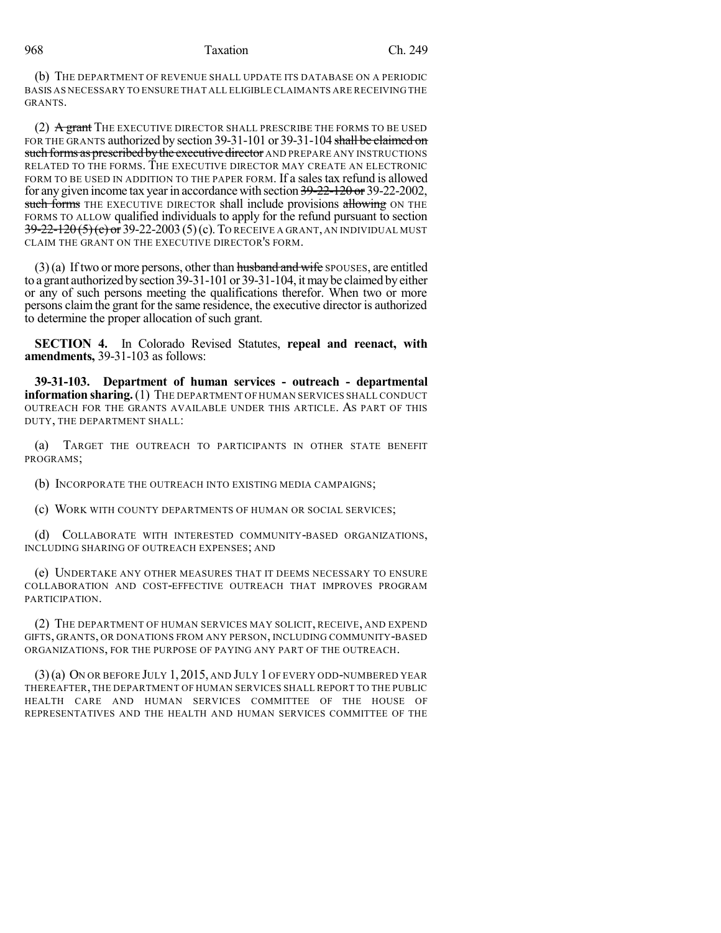#### 968 Taxation Ch. 249

(b) THE DEPARTMENT OF REVENUE SHALL UPDATE ITS DATABASE ON A PERIODIC BASIS AS NECESSARY TO ENSURE THAT ALL ELIGIBLE CLAIMANTS ARE RECEIVING THE GRANTS.

(2) A grant THE EXECUTIVE DIRECTOR SHALL PRESCRIBE THE FORMS TO BE USED FOR THE GRANTS authorized by section 39-31-101 or 39-31-104 shall be claimed on such forms as prescribed by the executive director AND PREPARE ANY INSTRUCTIONS RELATED TO THE FORMS. THE EXECUTIVE DIRECTOR MAY CREATE AN ELECTRONIC FORM TO BE USED IN ADDITION TO THE PAPER FORM. If a sales tax refund is allowed for any given income tax year in accordance with section 39-22-120 or 39-22-2002, such forms THE EXECUTIVE DIRECTOR shall include provisions allowing ON THE FORMS TO ALLOW qualified individuals to apply for the refund pursuant to section 39-22-120 (5) (c) or 39-22-2003 (5) (c). TO RECEIVE A GRANT, AN INDIVIDUAL MUST CLAIM THE GRANT ON THE EXECUTIVE DIRECTOR'S FORM.

 $(3)$ (a) If two or more persons, other than husband and wife SPOUSES, are entitled to a grant authorized bysection 39-31-101 or 39-31-104, itmaybe claimed byeither or any of such persons meeting the qualifications therefor. When two or more persons claimthe grant for the same residence, the executive director is authorized to determine the proper allocation of such grant.

**SECTION 4.** In Colorado Revised Statutes, **repeal and reenact, with amendments,** 39-31-103 as follows:

**39-31-103. Department of human services - outreach - departmental information sharing.**(1) THE DEPARTMENT OF HUMAN SERVICES SHALL CONDUCT OUTREACH FOR THE GRANTS AVAILABLE UNDER THIS ARTICLE. AS PART OF THIS DUTY, THE DEPARTMENT SHALL:

(a) TARGET THE OUTREACH TO PARTICIPANTS IN OTHER STATE BENEFIT PROGRAMS;

(b) INCORPORATE THE OUTREACH INTO EXISTING MEDIA CAMPAIGNS;

(c) WORK WITH COUNTY DEPARTMENTS OF HUMAN OR SOCIAL SERVICES;

(d) COLLABORATE WITH INTERESTED COMMUNITY-BASED ORGANIZATIONS, INCLUDING SHARING OF OUTREACH EXPENSES; AND

(e) UNDERTAKE ANY OTHER MEASURES THAT IT DEEMS NECESSARY TO ENSURE COLLABORATION AND COST-EFFECTIVE OUTREACH THAT IMPROVES PROGRAM PARTICIPATION.

(2) THE DEPARTMENT OF HUMAN SERVICES MAY SOLICIT, RECEIVE, AND EXPEND GIFTS, GRANTS, OR DONATIONS FROM ANY PERSON, INCLUDING COMMUNITY-BASED ORGANIZATIONS, FOR THE PURPOSE OF PAYING ANY PART OF THE OUTREACH.

(3)(a) ON OR BEFORE JULY 1, 2015, AND JULY 1 OF EVERY ODD-NUMBERED YEAR THEREAFTER, THE DEPARTMENT OF HUMAN SERVICES SHALL REPORT TO THE PUBLIC HEALTH CARE AND HUMAN SERVICES COMMITTEE OF THE HOUSE OF REPRESENTATIVES AND THE HEALTH AND HUMAN SERVICES COMMITTEE OF THE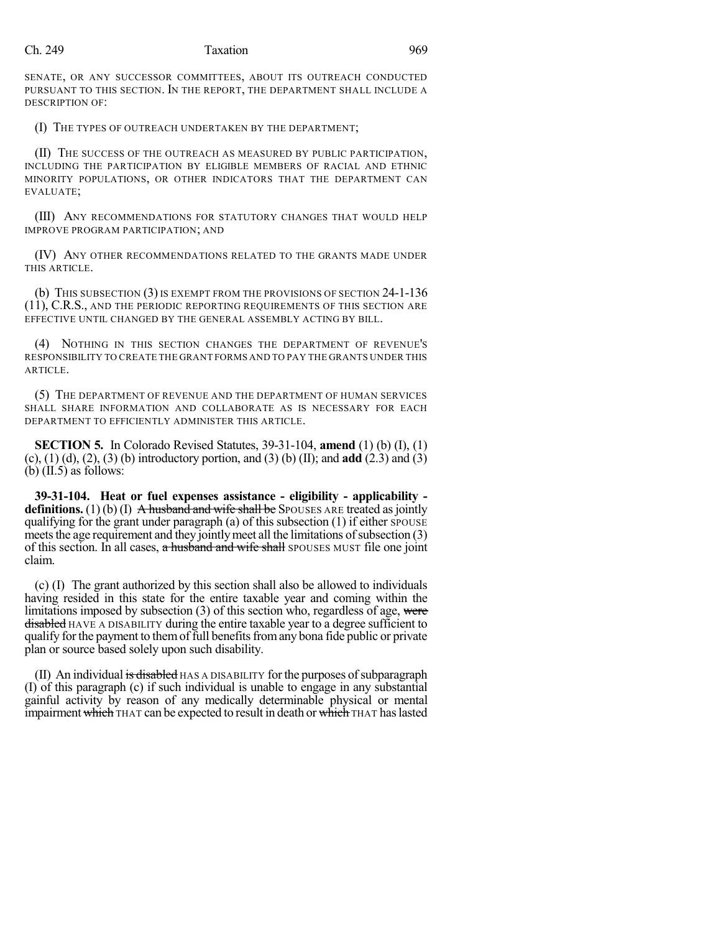SENATE, OR ANY SUCCESSOR COMMITTEES, ABOUT ITS OUTREACH CONDUCTED PURSUANT TO THIS SECTION. IN THE REPORT, THE DEPARTMENT SHALL INCLUDE A DESCRIPTION OF:

(I) THE TYPES OF OUTREACH UNDERTAKEN BY THE DEPARTMENT;

(II) THE SUCCESS OF THE OUTREACH AS MEASURED BY PUBLIC PARTICIPATION, INCLUDING THE PARTICIPATION BY ELIGIBLE MEMBERS OF RACIAL AND ETHNIC MINORITY POPULATIONS, OR OTHER INDICATORS THAT THE DEPARTMENT CAN EVALUATE;

(III) ANY RECOMMENDATIONS FOR STATUTORY CHANGES THAT WOULD HELP IMPROVE PROGRAM PARTICIPATION; AND

(IV) ANY OTHER RECOMMENDATIONS RELATED TO THE GRANTS MADE UNDER THIS ARTICLE.

(b) THIS SUBSECTION  $(3)$  IS EXEMPT FROM THE PROVISIONS OF SECTION  $24$ -1-136 (11), C.R.S., AND THE PERIODIC REPORTING REQUIREMENTS OF THIS SECTION ARE EFFECTIVE UNTIL CHANGED BY THE GENERAL ASSEMBLY ACTING BY BILL.

(4) NOTHING IN THIS SECTION CHANGES THE DEPARTMENT OF REVENUE'S RESPONSIBILITY TO CREATE THE GRANT FORMS AND TO PAY THE GRANTS UNDER THIS ARTICLE.

(5) THE DEPARTMENT OF REVENUE AND THE DEPARTMENT OF HUMAN SERVICES SHALL SHARE INFORMATION AND COLLABORATE AS IS NECESSARY FOR EACH DEPARTMENT TO EFFICIENTLY ADMINISTER THIS ARTICLE.

**SECTION 5.** In Colorado Revised Statutes, 39-31-104, **amend** (1) (b) (I), (1) (c), (1) (d), (2), (3) (b) introductory portion, and (3) (b) (II); and **add** (2.3) and (3) (b)  $(II.5)$  as follows:

**39-31-104. Heat or fuel expenses assistance - eligibility - applicability definitions.** (1) (b) (I)  $\overrightarrow{A}$  husband and wife shall be SPOUSES ARE treated as jointly qualifying for the grant under paragraph (a) of this subsection  $(1)$  if either  $\gamma$  spots E meets the age requirement and they jointly meet all the limitations of subsection  $(3)$ of this section. In all cases, a husband and wife shall SPOUSES MUST file one joint claim.

(c) (I) The grant authorized by this section shall also be allowed to individuals having resided in this state for the entire taxable year and coming within the limitations imposed by subsection  $(3)$  of this section who, regardless of age, were disabled HAVE A DISABILITY during the entire taxable year to a degree sufficient to qualify forthe payment to themof full benefitsfromany bona fide public or private plan or source based solely upon such disability.

(II) An individual is disabled  $HAS$  A DISABILITY for the purposes of subparagraph (I) of this paragraph (c) if such individual is unable to engage in any substantial gainful activity by reason of any medically determinable physical or mental impairment which THAT can be expected to result in death or which THAT haslasted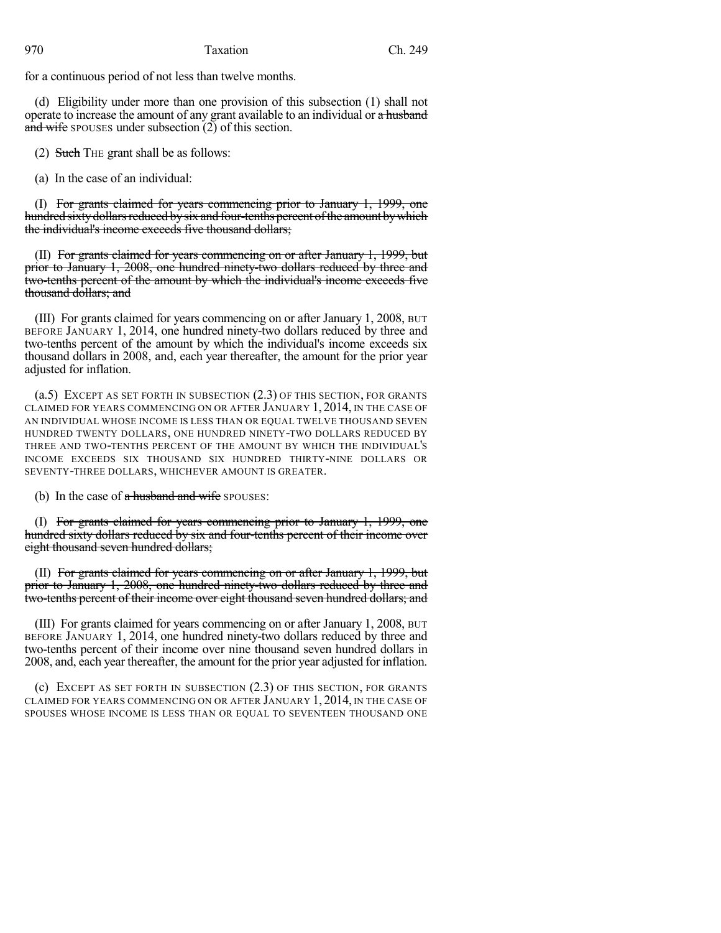### 970 Taxation Ch. 249

for a continuous period of not less than twelve months.

(d) Eligibility under more than one provision of this subsection (1) shall not operate to increase the amount of any grant available to an individual or a husband and wife spouses under subsection (2) of this section.

(2) Such THE grant shall be as follows:

(a) In the case of an individual:

(I) For grants claimed for years commencing prior to January 1, 1999, one hundred sixty dollars reduced by six and four-tenths percent of the amount by which the individual's income exceeds five thousand dollars;

(II) For grants claimed for years commencing on or after January 1, 1999, but prior to January 1, 2008, one hundred ninety-two dollars reduced by three and two-tenths percent of the amount by which the individual's income exceeds five thousand dollars; and

(III) For grants claimed for years commencing on or after January 1, 2008, BUT BEFORE JANUARY 1, 2014, one hundred ninety-two dollars reduced by three and two-tenths percent of the amount by which the individual's income exceeds six thousand dollars in 2008, and, each year thereafter, the amount for the prior year adjusted for inflation.

(a.5) EXCEPT AS SET FORTH IN SUBSECTION (2.3) OF THIS SECTION, FOR GRANTS CLAIMED FOR YEARS COMMENCING ON OR AFTER JANUARY 1, 2014, IN THE CASE OF AN INDIVIDUAL WHOSE INCOME IS LESS THAN OR EQUAL TWELVE THOUSAND SEVEN HUNDRED TWENTY DOLLARS, ONE HUNDRED NINETY-TWO DOLLARS REDUCED BY THREE AND TWO-TENTHS PERCENT OF THE AMOUNT BY WHICH THE INDIVIDUAL'S INCOME EXCEEDS SIX THOUSAND SIX HUNDRED THIRTY-NINE DOLLARS OR SEVENTY-THREE DOLLARS, WHICHEVER AMOUNT IS GREATER.

(b) In the case of  $\alpha$  husband and wife SPOUSES:

(I) For grants claimed for years commencing prior to January 1, 1999, one hundred sixty dollars reduced by six and four-tenths percent of their income over eight thousand seven hundred dollars;

(II) For grants claimed for years commencing on or after January 1, 1999, but prior to January 1, 2008, one hundred ninety-two dollars reduced by three and two-tenths percent of their income over eight thousand seven hundred dollars; and

(III) For grants claimed for years commencing on or after January 1, 2008, BUT BEFORE JANUARY 1, 2014, one hundred ninety-two dollars reduced by three and two-tenths percent of their income over nine thousand seven hundred dollars in 2008, and, each year thereafter, the amount for the prior year adjusted for inflation.

(c) EXCEPT AS SET FORTH IN SUBSECTION (2.3) OF THIS SECTION, FOR GRANTS CLAIMED FOR YEARS COMMENCING ON OR AFTER JANUARY 1, 2014, IN THE CASE OF SPOUSES WHOSE INCOME IS LESS THAN OR EQUAL TO SEVENTEEN THOUSAND ONE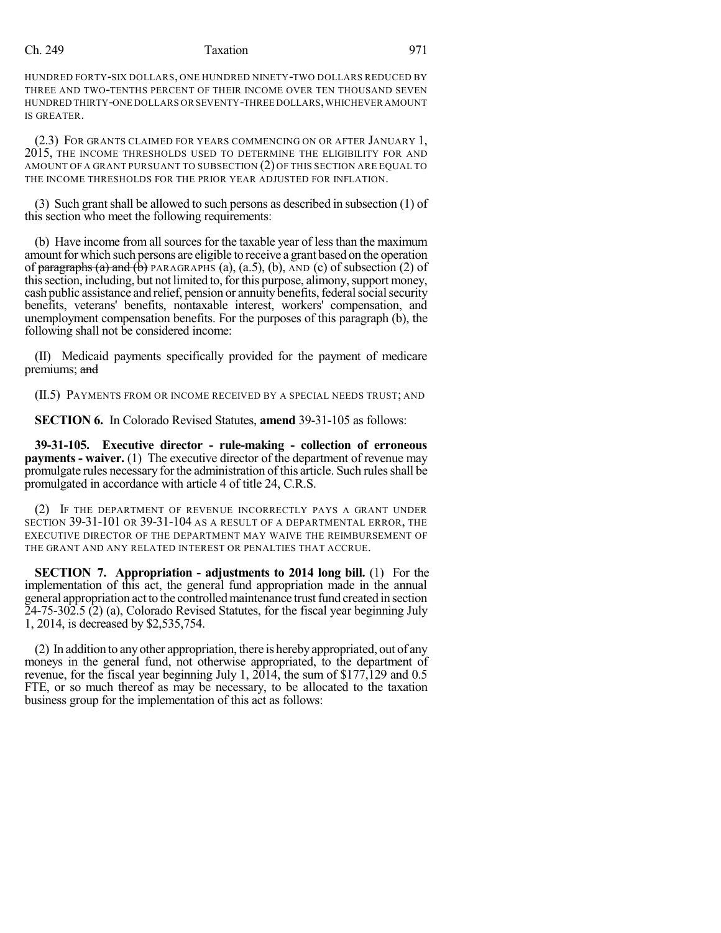## Ch. 249 Taxation 971

HUNDRED FORTY-SIX DOLLARS, ONE HUNDRED NINETY-TWO DOLLARS REDUCED BY THREE AND TWO-TENTHS PERCENT OF THEIR INCOME OVER TEN THOUSAND SEVEN HUNDRED THIRTY-ONE DOLLARS OR SEVENTY-THREE DOLLARS,WHICHEVER AMOUNT IS GREATER.

(2.3) FOR GRANTS CLAIMED FOR YEARS COMMENCING ON OR AFTER JANUARY 1, 2015, THE INCOME THRESHOLDS USED TO DETERMINE THE ELIGIBILITY FOR AND AMOUNT OF A GRANT PURSUANT TO SUBSECTION (2) OF THIS SECTION ARE EQUAL TO THE INCOME THRESHOLDS FOR THE PRIOR YEAR ADJUSTED FOR INFLATION.

(3) Such grant shall be allowed to such persons as described in subsection  $(1)$  of this section who meet the following requirements:

(b) Have income from all sources for the taxable year of lessthan the maximum amount for which such persons are eligible to receive a grant based on the operation of paragraphs (a) and  $(b)$  PARAGRAPHS (a), (a.5), (b), AND (c) of subsection (2) of this section, including, but not limited to, for this purpose, alimony, support money, cash public assistance and relief, pension or annuity benefits, federal social security benefits, veterans' benefits, nontaxable interest, workers' compensation, and unemployment compensation benefits. For the purposes of this paragraph (b), the following shall not be considered income:

(II) Medicaid payments specifically provided for the payment of medicare premiums; and

(II.5) PAYMENTS FROM OR INCOME RECEIVED BY A SPECIAL NEEDS TRUST; AND

**SECTION 6.** In Colorado Revised Statutes, **amend** 39-31-105 as follows:

**39-31-105. Executive director - rule-making - collection of erroneous payments - waiver.** (1) The executive director of the department of revenue may promulgate rules necessary for the administration of this article. Such rules shall be promulgated in accordance with article 4 of title 24, C.R.S.

(2) IF THE DEPARTMENT OF REVENUE INCORRECTLY PAYS A GRANT UNDER SECTION 39-31-101 OR 39-31-104 AS A RESULT OF A DEPARTMENTAL ERROR, THE EXECUTIVE DIRECTOR OF THE DEPARTMENT MAY WAIVE THE REIMBURSEMENT OF THE GRANT AND ANY RELATED INTEREST OR PENALTIES THAT ACCRUE.

**SECTION 7. Appropriation - adjustments to 2014 long bill.** (1) For the implementation of this act, the general fund appropriation made in the annual general appropriation act to the controlled maintenance trust fund created in section  $24-75-302.5$  (2) (a), Colorado Revised Statutes, for the fiscal year beginning July 1, 2014, is decreased by \$2,535,754.

(2) In addition to anyother appropriation, there is herebyappropriated, out of any moneys in the general fund, not otherwise appropriated, to the department of revenue, for the fiscal year beginning July 1, 2014, the sum of \$177,129 and 0.5 FTE, or so much thereof as may be necessary, to be allocated to the taxation business group for the implementation of this act as follows: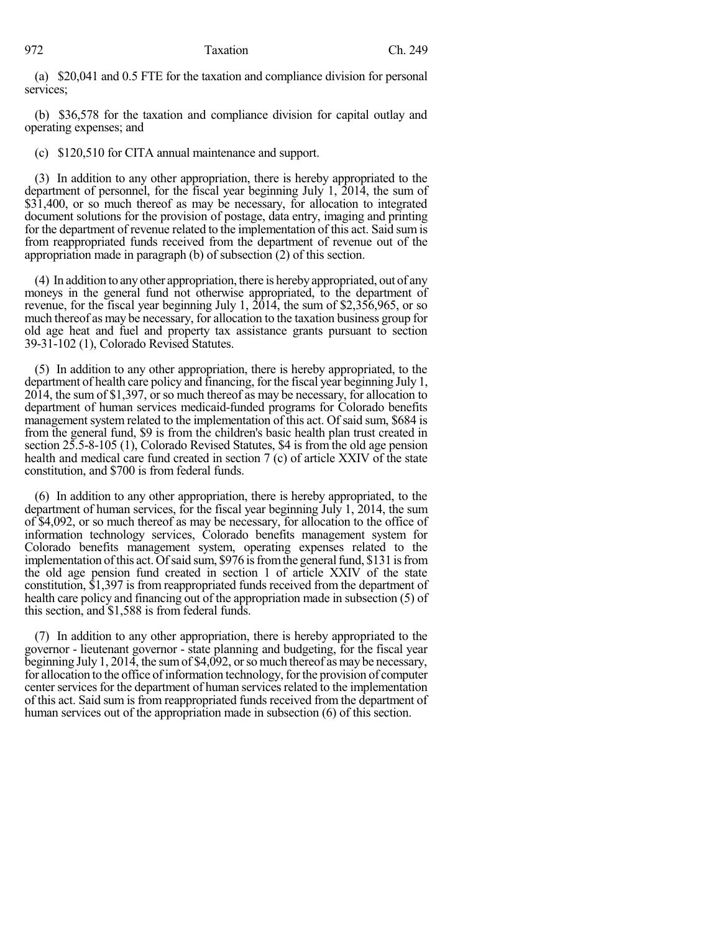(a) \$20,041 and 0.5 FTE for the taxation and compliance division for personal services;

(b) \$36,578 for the taxation and compliance division for capital outlay and operating expenses; and

(c) \$120,510 for CITA annual maintenance and support.

(3) In addition to any other appropriation, there is hereby appropriated to the department of personnel, for the fiscal year beginning July 1, 2014, the sum of \$31,400, or so much thereof as may be necessary, for allocation to integrated document solutions for the provision of postage, data entry, imaging and printing for the department of revenue related to the implementation of this act. Said sum is from reappropriated funds received from the department of revenue out of the appropriation made in paragraph (b) of subsection (2) of this section.

(4) In addition to anyother appropriation, there is herebyappropriated, out of any moneys in the general fund not otherwise appropriated, to the department of revenue, for the fiscal year beginning July 1, 2014, the sum of \$2,356,965, or so much thereof as may be necessary, for allocation to the taxation business group for old age heat and fuel and property tax assistance grants pursuant to section 39-31-102 (1), Colorado Revised Statutes.

(5) In addition to any other appropriation, there is hereby appropriated, to the department of health care policy and financing, for the fiscal year beginning July 1, 2014, the sum of \$1,397, or so much thereof as may be necessary, for allocation to department of human services medicaid-funded programs for Colorado benefits management system related to the implementation of this act. Of said sum, \$684 is from the general fund, \$9 is from the children's basic health plan trust created in section 25.5-8-105 (1), Colorado Revised Statutes, \$4 is from the old age pension health and medical care fund created in section 7 (c) of article XXIV of the state constitution, and \$700 is from federal funds.

(6) In addition to any other appropriation, there is hereby appropriated, to the department of human services, for the fiscal year beginning July 1, 2014, the sum of \$4,092, or so much thereof as may be necessary, for allocation to the office of information technology services, Colorado benefits management system for Colorado benefits management system, operating expenses related to the implementation of this act. Of said sum, \$976 is from the general fund, \$131 is from the old age pension fund created in section 1 of article XXIV of the state constitution, \$1,397 is from reappropriated funds received from the department of health care policy and financing out of the appropriation made in subsection (5) of this section, and \$1,588 is from federal funds.

(7) In addition to any other appropriation, there is hereby appropriated to the governor - lieutenant governor - state planning and budgeting, for the fiscal year beginning July 1, 2014, the sumof \$4,092, orso much thereof asmay be necessary, for allocation to the office of information technology, for the provision of computer center services for the department of human services related to the implementation of this act. Said sum is from reappropriated funds received from the department of human services out of the appropriation made in subsection (6) of this section.